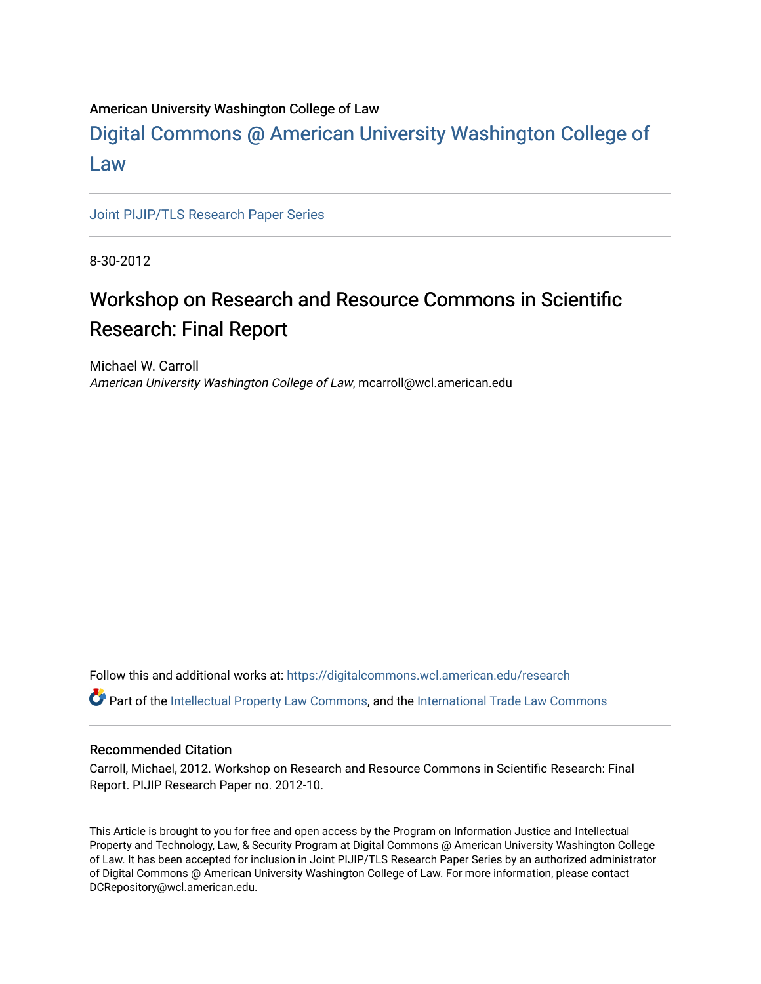### American University Washington College of Law

# [Digital Commons @ American University Washington College of](https://digitalcommons.wcl.american.edu/)  [Law](https://digitalcommons.wcl.american.edu/)

[Joint PIJIP/TLS Research Paper Series](https://digitalcommons.wcl.american.edu/research)

8-30-2012

# Workshop on Research and Resource Commons in Scientific Research: Final Report

Michael W. Carroll American University Washington College of Law, mcarroll@wcl.american.edu

Follow this and additional works at: [https://digitalcommons.wcl.american.edu/research](https://digitalcommons.wcl.american.edu/research?utm_source=digitalcommons.wcl.american.edu%2Fresearch%2F32&utm_medium=PDF&utm_campaign=PDFCoverPages) 

Part of the [Intellectual Property Law Commons,](http://network.bepress.com/hgg/discipline/896?utm_source=digitalcommons.wcl.american.edu%2Fresearch%2F32&utm_medium=PDF&utm_campaign=PDFCoverPages) and the [International Trade Law Commons](http://network.bepress.com/hgg/discipline/848?utm_source=digitalcommons.wcl.american.edu%2Fresearch%2F32&utm_medium=PDF&utm_campaign=PDFCoverPages) 

#### Recommended Citation

Carroll, Michael, 2012. Workshop on Research and Resource Commons in Scientific Research: Final Report. PIJIP Research Paper no. 2012-10.

This Article is brought to you for free and open access by the Program on Information Justice and Intellectual Property and Technology, Law, & Security Program at Digital Commons @ American University Washington College of Law. It has been accepted for inclusion in Joint PIJIP/TLS Research Paper Series by an authorized administrator of Digital Commons @ American University Washington College of Law. For more information, please contact DCRepository@wcl.american.edu.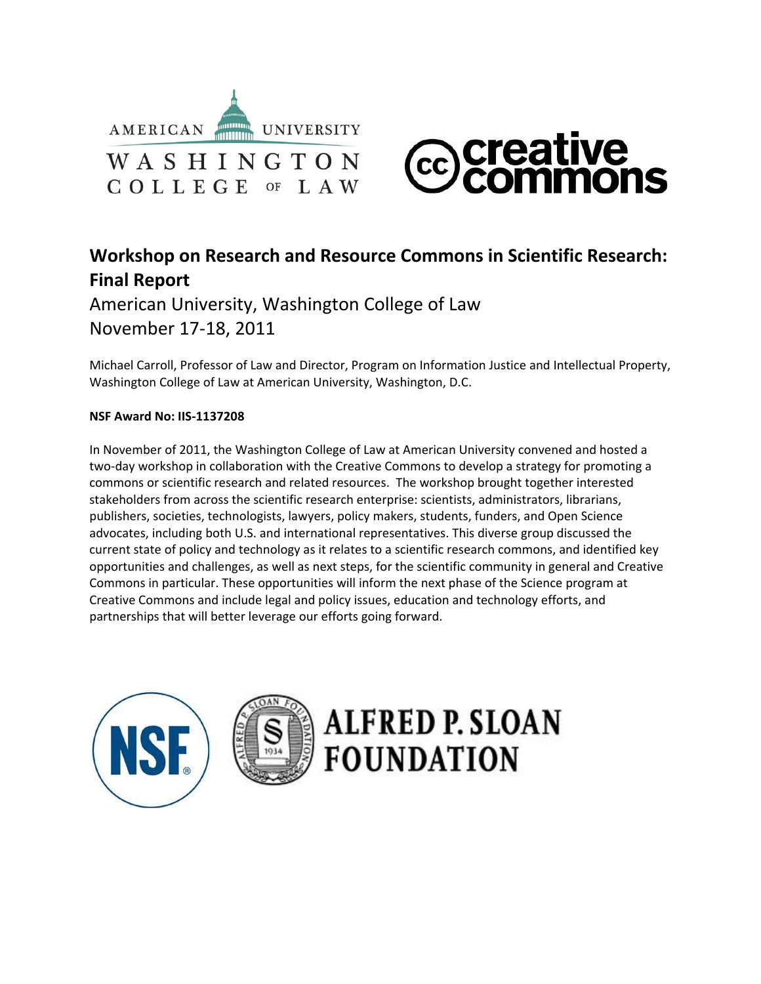



## **Workshop on Research and Resource Commons in Scientific Research: Final Report**

American University, Washington College of Law November 17‐18, 2011

Michael Carroll, Professor of Law and Director, Program on Information Justice and Intellectual Property, Washington College of Law at American University, Washington, D.C.

#### **NSF Award No: IIS‐1137208**

In November of 2011, the Washington College of Law at American University convened and hosted a two‐day workshop in collaboration with the Creative Commons to develop a strategy for promoting a commons or scientific research and related resources. The workshop brought together interested stakeholders from across the scientific research enterprise: scientists, administrators, librarians, publishers, societies, technologists, lawyers, policy makers, students, funders, and Open Science advocates, including both U.S. and international representatives. This diverse group discussed the current state of policy and technology as it relates to a scientific research commons, and identified key opportunities and challenges, as well as next steps, for the scientific community in general and Creative Commons in particular. These opportunities will inform the next phase of the Science program at Creative Commons and include legal and policy issues, education and technology efforts, and partnerships that will better leverage our efforts going forward.

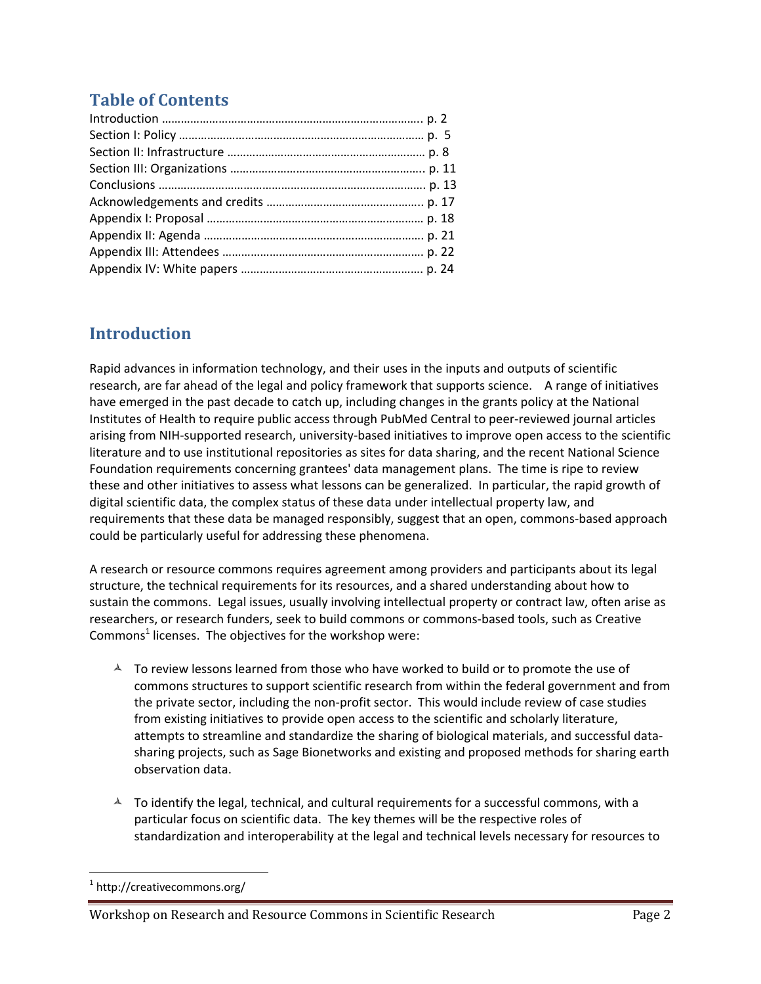### **Table of Contents**

### **Introduction**

Rapid advances in information technology, and their uses in the inputs and outputs of scientific research, are far ahead of the legal and policy framework that supports science. A range of initiatives have emerged in the past decade to catch up, including changes in the grants policy at the National Institutes of Health to require public access through PubMed Central to peer‐reviewed journal articles arising from NIH‐supported research, university‐based initiatives to improve open access to the scientific literature and to use institutional repositories as sites for data sharing, and the recent National Science Foundation requirements concerning grantees' data management plans. The time is ripe to review these and other initiatives to assess what lessons can be generalized. In particular, the rapid growth of digital scientific data, the complex status of these data under intellectual property law, and requirements that these data be managed responsibly, suggest that an open, commons-based approach could be particularly useful for addressing these phenomena.

A research or resource commons requires agreement among providers and participants about its legal structure, the technical requirements for its resources, and a shared understanding about how to sustain the commons. Legal issues, usually involving intellectual property or contract law, often arise as researchers, or research funders, seek to build commons or commons‐based tools, such as Creative  $Commons<sup>1</sup>$  licenses. The objectives for the workshop were:

- $\triangle$  To review lessons learned from those who have worked to build or to promote the use of commons structures to support scientific research from within the federal government and from the private sector, including the non‐profit sector. This would include review of case studies from existing initiatives to provide open access to the scientific and scholarly literature, attempts to streamline and standardize the sharing of biological materials, and successful data‐ sharing projects, such as Sage Bionetworks and existing and proposed methods for sharing earth observation data.
- $\overrightarrow{A}$  To identify the legal, technical, and cultural requirements for a successful commons, with a particular focus on scientific data. The key themes will be the respective roles of standardization and interoperability at the legal and technical levels necessary for resources to

 $1$  http://creativecommons.org/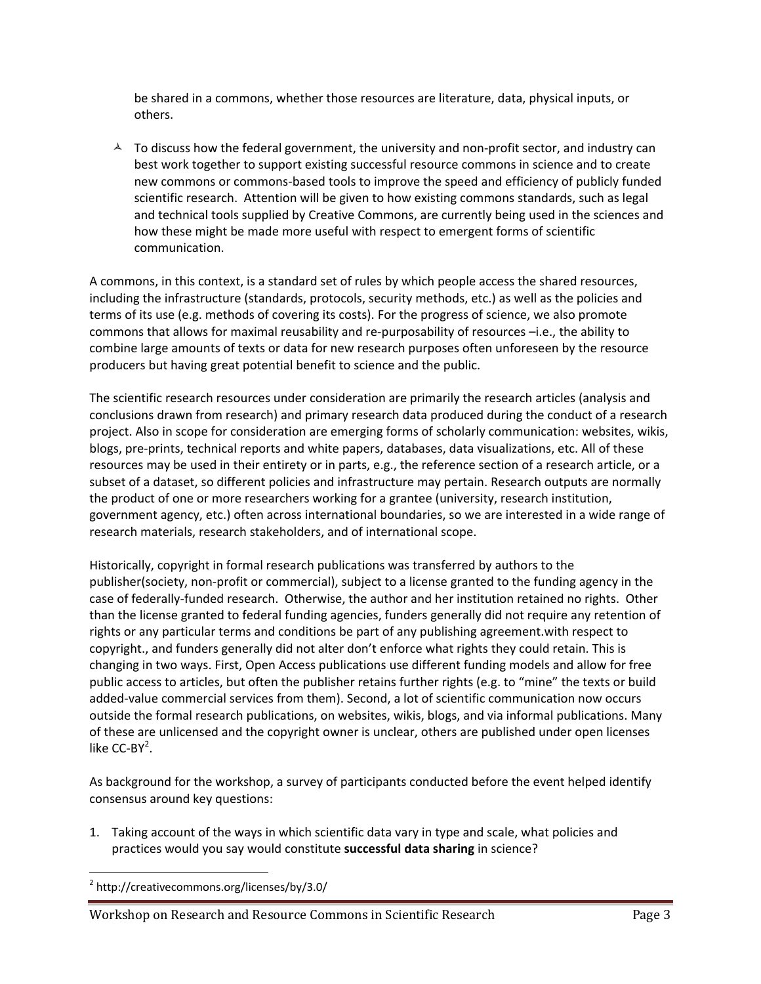be shared in a commons, whether those resources are literature, data, physical inputs, or others.

 $\lambda$  To discuss how the federal government, the university and non-profit sector, and industry can best work together to support existing successful resource commons in science and to create new commons or commons‐based tools to improve the speed and efficiency of publicly funded scientific research. Attention will be given to how existing commons standards, such as legal and technical tools supplied by Creative Commons, are currently being used in the sciences and how these might be made more useful with respect to emergent forms of scientific communication.

A commons, in this context, is a standard set of rules by which people access the shared resources, including the infrastructure (standards, protocols, security methods, etc.) as well as the policies and terms of its use (e.g. methods of covering its costs). For the progress of science, we also promote commons that allows for maximal reusability and re‐purposability of resources –i.e., the ability to combine large amounts of texts or data for new research purposes often unforeseen by the resource producers but having great potential benefit to science and the public.

The scientific research resources under consideration are primarily the research articles (analysis and conclusions drawn from research) and primary research data produced during the conduct of a research project. Also in scope for consideration are emerging forms of scholarly communication: websites, wikis, blogs, pre‐prints, technical reports and white papers, databases, data visualizations, etc. All of these resources may be used in their entirety or in parts, e.g., the reference section of a research article, or a subset of a dataset, so different policies and infrastructure may pertain. Research outputs are normally the product of one or more researchers working for a grantee (university, research institution, government agency, etc.) often across international boundaries, so we are interested in a wide range of research materials, research stakeholders, and of international scope.

Historically, copyright in formal research publications was transferred by authors to the publisher(society, non‐profit or commercial), subject to a license granted to the funding agency in the case of federally‐funded research. Otherwise, the author and her institution retained no rights. Other than the license granted to federal funding agencies, funders generally did not require any retention of rights or any particular terms and conditions be part of any publishing agreement.with respect to copyright., and funders generally did not alter don't enforce what rights they could retain. This is changing in two ways. First, Open Access publications use different funding models and allow for free public access to articles, but often the publisher retains further rights (e.g. to "mine" the texts or build added‐value commercial services from them). Second, a lot of scientific communication now occurs outside the formal research publications, on websites, wikis, blogs, and via informal publications. Many of these are unlicensed and the copyright owner is unclear, others are published under open licenses like  $CC-BY^2$ .

As background for the workshop, a survey of participants conducted before the event helped identify consensus around key questions:

1. Taking account of the ways in which scientific data vary in type and scale, what policies and practices would you say would constitute **successful data sharing** in science?

 <sup>2</sup> http://creativecommons.org/licenses/by/3.0/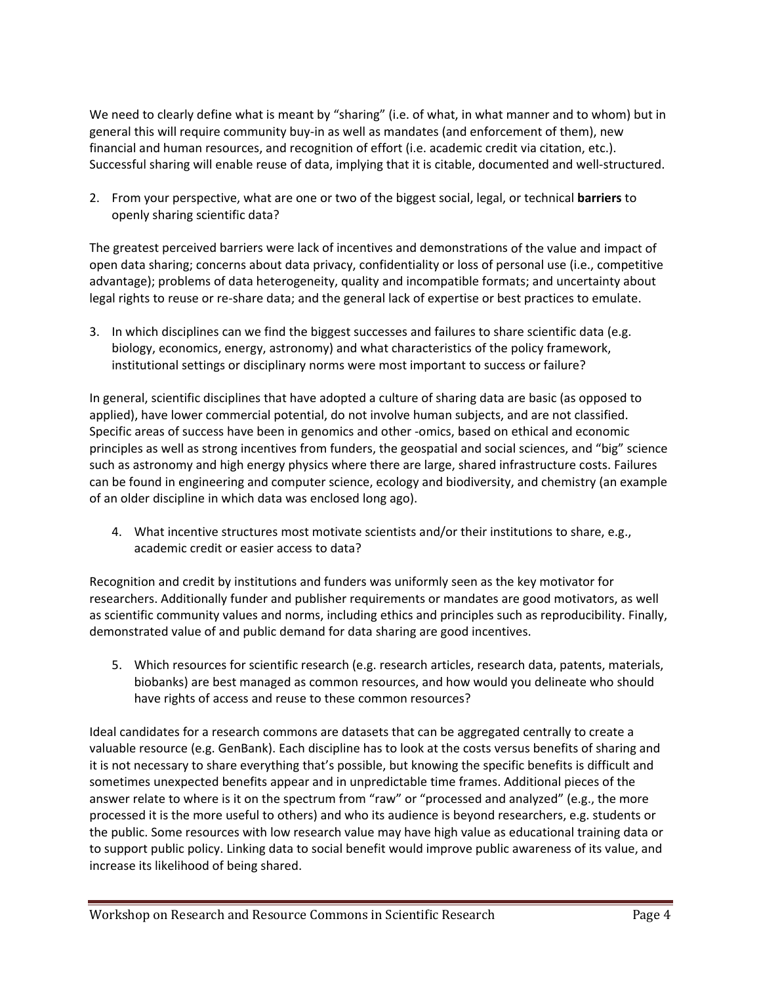We need to clearly define what is meant by "sharing" (i.e. of what, in what manner and to whom) but in general this will require community buy-in as well as mandates (and enforcement of them), new financial and human resources, and recognition of effort (i.e. academic credit via citation, etc.). Successful sharing will enable reuse of data, implying that it is citable, documented and well‐structured.

2. From your perspective, what are one or two of the biggest social, legal, or technical **barriers** to openly sharing scientific data?

The greatest perceived barriers were lack of incentives and demonstrations of the value and impact of open data sharing; concerns about data privacy, confidentiality or loss of personal use (i.e., competitive advantage); problems of data heterogeneity, quality and incompatible formats; and uncertainty about legal rights to reuse or re-share data; and the general lack of expertise or best practices to emulate.

3. In which disciplines can we find the biggest successes and failures to share scientific data (e.g. biology, economics, energy, astronomy) and what characteristics of the policy framework, institutional settings or disciplinary norms were most important to success or failure?

In general, scientific disciplines that have adopted a culture of sharing data are basic (as opposed to applied), have lower commercial potential, do not involve human subjects, and are not classified. Specific areas of success have been in genomics and other ‐omics, based on ethical and economic principles as well as strong incentives from funders, the geospatial and social sciences, and "big" science such as astronomy and high energy physics where there are large, shared infrastructure costs. Failures can be found in engineering and computer science, ecology and biodiversity, and chemistry (an example of an older discipline in which data was enclosed long ago).

4. What incentive structures most motivate scientists and/or their institutions to share, e.g., academic credit or easier access to data?

Recognition and credit by institutions and funders was uniformly seen as the key motivator for researchers. Additionally funder and publisher requirements or mandates are good motivators, as well as scientific community values and norms, including ethics and principles such as reproducibility. Finally, demonstrated value of and public demand for data sharing are good incentives.

5. Which resources for scientific research (e.g. research articles, research data, patents, materials, biobanks) are best managed as common resources, and how would you delineate who should have rights of access and reuse to these common resources?

Ideal candidates for a research commons are datasets that can be aggregated centrally to create a valuable resource (e.g. GenBank). Each discipline has to look at the costs versus benefits of sharing and it is not necessary to share everything that's possible, but knowing the specific benefits is difficult and sometimes unexpected benefits appear and in unpredictable time frames. Additional pieces of the answer relate to where is it on the spectrum from "raw" or "processed and analyzed" (e.g., the more processed it is the more useful to others) and who its audience is beyond researchers, e.g. students or the public. Some resources with low research value may have high value as educational training data or to support public policy. Linking data to social benefit would improve public awareness of its value, and increase its likelihood of being shared.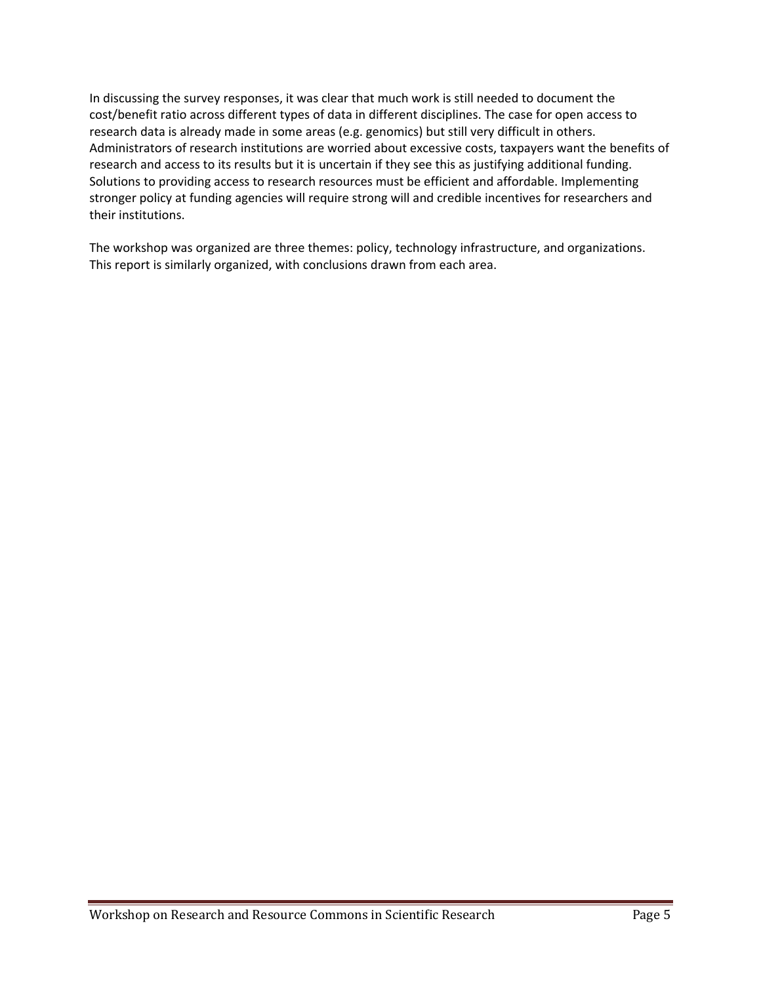In discussing the survey responses, it was clear that much work is still needed to document the cost/benefit ratio across different types of data in different disciplines. The case for open access to research data is already made in some areas (e.g. genomics) but still very difficult in others. Administrators of research institutions are worried about excessive costs, taxpayers want the benefits of research and access to its results but it is uncertain if they see this as justifying additional funding. Solutions to providing access to research resources must be efficient and affordable. Implementing stronger policy at funding agencies will require strong will and credible incentives for researchers and their institutions.

The workshop was organized are three themes: policy, technology infrastructure, and organizations. This report is similarly organized, with conclusions drawn from each area.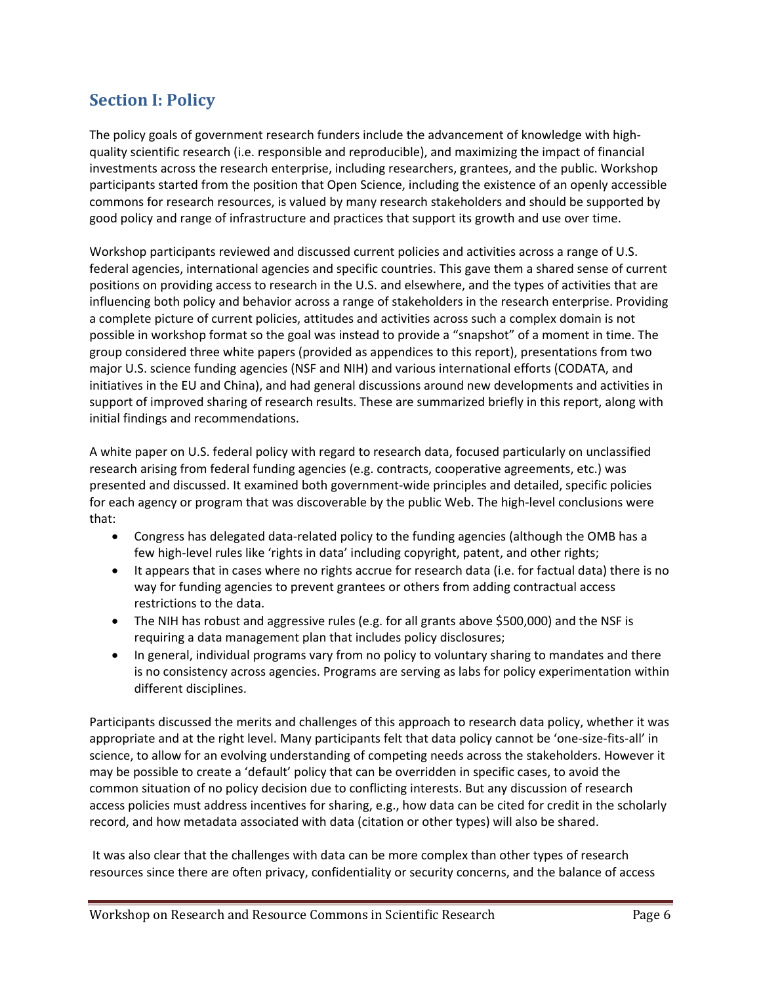### **Section I: Policy**

The policy goals of government research funders include the advancement of knowledge with high‐ quality scientific research (i.e. responsible and reproducible), and maximizing the impact of financial investments across the research enterprise, including researchers, grantees, and the public. Workshop participants started from the position that Open Science, including the existence of an openly accessible commons for research resources, is valued by many research stakeholders and should be supported by good policy and range of infrastructure and practices that support its growth and use over time.

Workshop participants reviewed and discussed current policies and activities across a range of U.S. federal agencies, international agencies and specific countries. This gave them a shared sense of current positions on providing access to research in the U.S. and elsewhere, and the types of activities that are influencing both policy and behavior across a range of stakeholders in the research enterprise. Providing a complete picture of current policies, attitudes and activities across such a complex domain is not possible in workshop format so the goal was instead to provide a "snapshot" of a moment in time. The group considered three white papers (provided as appendices to this report), presentations from two major U.S. science funding agencies (NSF and NIH) and various international efforts (CODATA, and initiatives in the EU and China), and had general discussions around new developments and activities in support of improved sharing of research results. These are summarized briefly in this report, along with initial findings and recommendations.

A white paper on U.S. federal policy with regard to research data, focused particularly on unclassified research arising from federal funding agencies (e.g. contracts, cooperative agreements, etc.) was presented and discussed. It examined both government‐wide principles and detailed, specific policies for each agency or program that was discoverable by the public Web. The high-level conclusions were that:

- Congress has delegated data-related policy to the funding agencies (although the OMB has a few high-level rules like 'rights in data' including copyright, patent, and other rights;
- It appears that in cases where no rights accrue for research data (i.e. for factual data) there is no way for funding agencies to prevent grantees or others from adding contractual access restrictions to the data.
- The NIH has robust and aggressive rules (e.g. for all grants above \$500,000) and the NSF is requiring a data management plan that includes policy disclosures;
- In general, individual programs vary from no policy to voluntary sharing to mandates and there is no consistency across agencies. Programs are serving as labs for policy experimentation within different disciplines.

Participants discussed the merits and challenges of this approach to research data policy, whether it was appropriate and at the right level. Many participants felt that data policy cannot be 'one‐size‐fits‐all' in science, to allow for an evolving understanding of competing needs across the stakeholders. However it may be possible to create a 'default' policy that can be overridden in specific cases, to avoid the common situation of no policy decision due to conflicting interests. But any discussion of research access policies must address incentives for sharing, e.g., how data can be cited for credit in the scholarly record, and how metadata associated with data (citation or other types) will also be shared.

It was also clear that the challenges with data can be more complex than other types of research resources since there are often privacy, confidentiality or security concerns, and the balance of access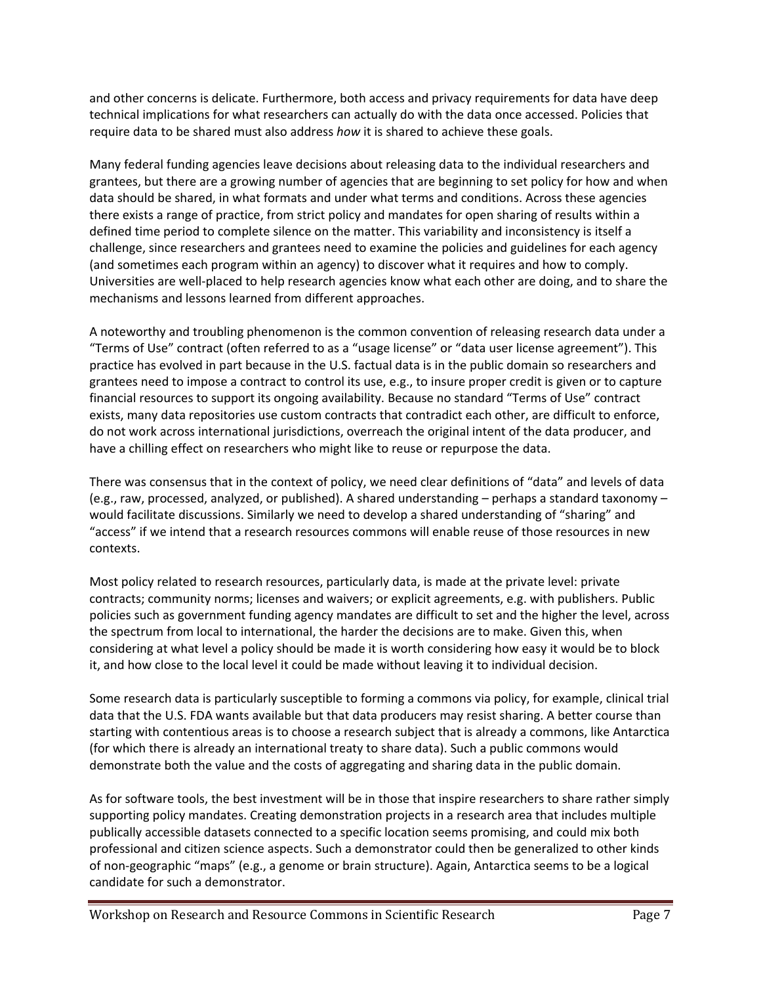and other concerns is delicate. Furthermore, both access and privacy requirements for data have deep technical implications for what researchers can actually do with the data once accessed. Policies that require data to be shared must also address *how* it is shared to achieve these goals.

Many federal funding agencies leave decisions about releasing data to the individual researchers and grantees, but there are a growing number of agencies that are beginning to set policy for how and when data should be shared, in what formats and under what terms and conditions. Across these agencies there exists a range of practice, from strict policy and mandates for open sharing of results within a defined time period to complete silence on the matter. This variability and inconsistency is itself a challenge, since researchers and grantees need to examine the policies and guidelines for each agency (and sometimes each program within an agency) to discover what it requires and how to comply. Universities are well‐placed to help research agencies know what each other are doing, and to share the mechanisms and lessons learned from different approaches.

A noteworthy and troubling phenomenon is the common convention of releasing research data under a "Terms of Use" contract (often referred to as a "usage license" or "data user license agreement"). This practice has evolved in part because in the U.S. factual data is in the public domain so researchers and grantees need to impose a contract to control its use, e.g., to insure proper credit is given or to capture financial resources to support its ongoing availability. Because no standard "Terms of Use" contract exists, many data repositories use custom contracts that contradict each other, are difficult to enforce, do not work across international jurisdictions, overreach the original intent of the data producer, and have a chilling effect on researchers who might like to reuse or repurpose the data.

There was consensus that in the context of policy, we need clear definitions of "data" and levels of data (e.g., raw, processed, analyzed, or published). A shared understanding – perhaps a standard taxonomy – would facilitate discussions. Similarly we need to develop a shared understanding of "sharing" and "access" if we intend that a research resources commons will enable reuse of those resources in new contexts.

Most policy related to research resources, particularly data, is made at the private level: private contracts; community norms; licenses and waivers; or explicit agreements, e.g. with publishers. Public policies such as government funding agency mandates are difficult to set and the higher the level, across the spectrum from local to international, the harder the decisions are to make. Given this, when considering at what level a policy should be made it is worth considering how easy it would be to block it, and how close to the local level it could be made without leaving it to individual decision.

Some research data is particularly susceptible to forming a commons via policy, for example, clinical trial data that the U.S. FDA wants available but that data producers may resist sharing. A better course than starting with contentious areas is to choose a research subject that is already a commons, like Antarctica (for which there is already an international treaty to share data). Such a public commons would demonstrate both the value and the costs of aggregating and sharing data in the public domain.

As for software tools, the best investment will be in those that inspire researchers to share rather simply supporting policy mandates. Creating demonstration projects in a research area that includes multiple publically accessible datasets connected to a specific location seems promising, and could mix both professional and citizen science aspects. Such a demonstrator could then be generalized to other kinds of non‐geographic "maps" (e.g., a genome or brain structure). Again, Antarctica seems to be a logical candidate for such a demonstrator.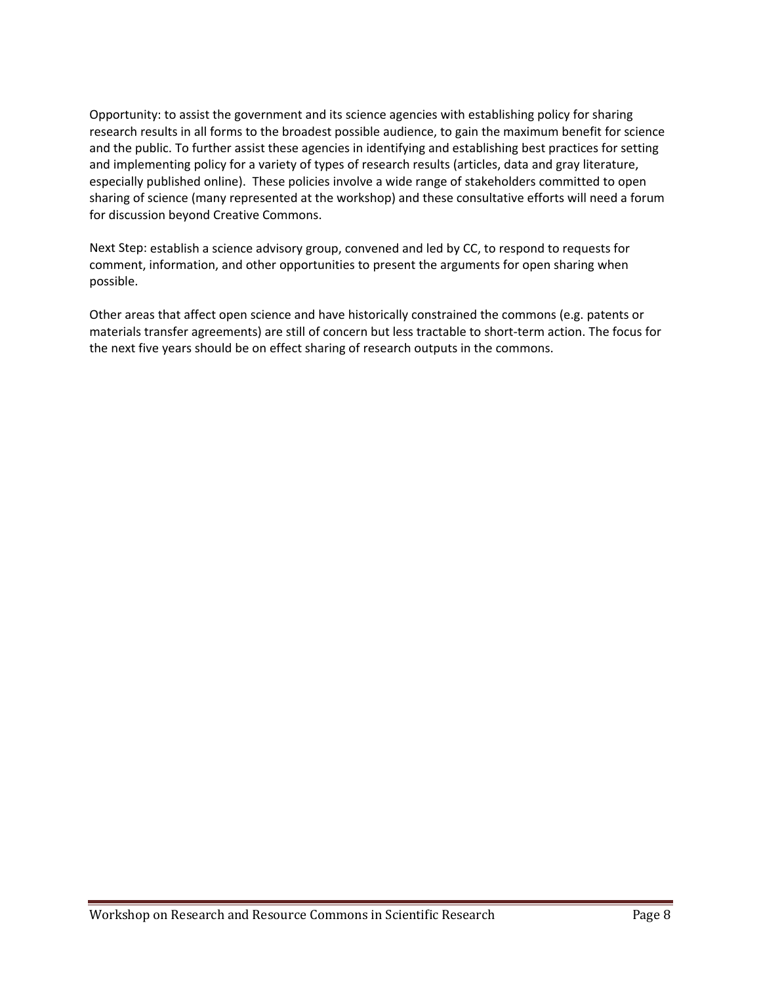Opportunity: to assist the government and its science agencies with establishing policy for sharing research results in all forms to the broadest possible audience, to gain the maximum benefit for science and the public. To further assist these agencies in identifying and establishing best practices for setting and implementing policy for a variety of types of research results (articles, data and gray literature, especially published online). These policies involve a wide range of stakeholders committed to open sharing of science (many represented at the workshop) and these consultative efforts will need a forum for discussion beyond Creative Commons.

Next Step: establish a science advisory group, convened and led by CC, to respond to requests for comment, information, and other opportunities to present the arguments for open sharing when possible.

Other areas that affect open science and have historically constrained the commons (e.g. patents or materials transfer agreements) are still of concern but less tractable to short-term action. The focus for the next five years should be on effect sharing of research outputs in the commons.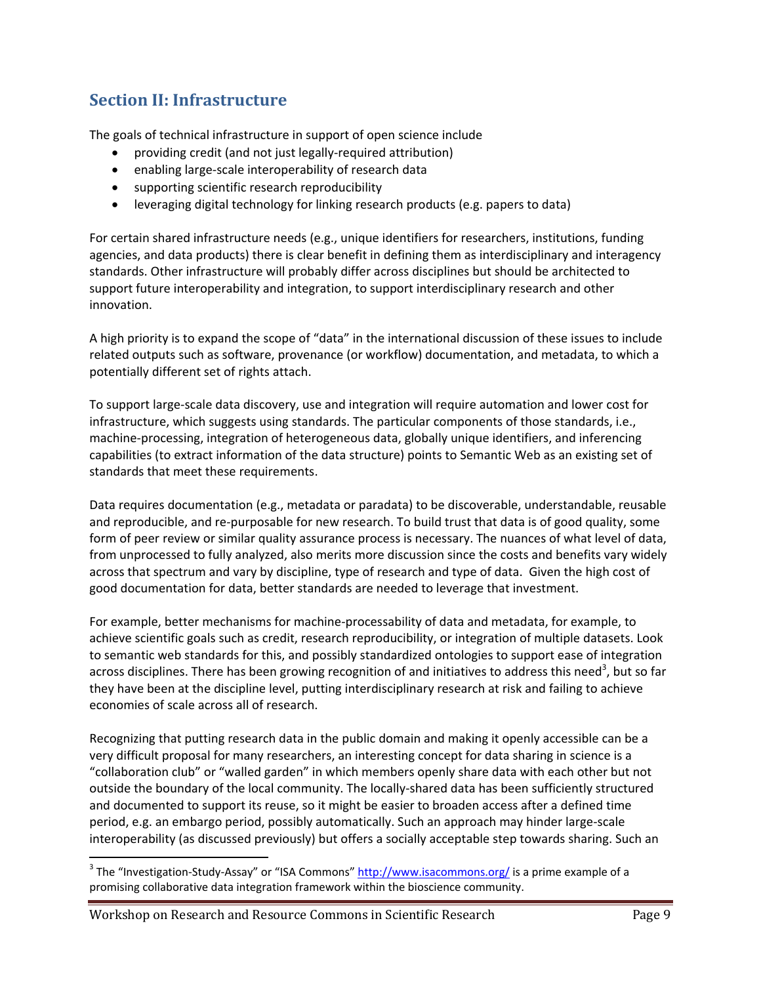### **Section II: Infrastructure**

The goals of technical infrastructure in support of open science include

- providing credit (and not just legally‐required attribution)
- enabling large‐scale interoperability of research data
- supporting scientific research reproducibility
- leveraging digital technology for linking research products (e.g. papers to data)

For certain shared infrastructure needs (e.g., unique identifiers for researchers, institutions, funding agencies, and data products) there is clear benefit in defining them as interdisciplinary and interagency standards. Other infrastructure will probably differ across disciplines but should be architected to support future interoperability and integration, to support interdisciplinary research and other innovation.

A high priority is to expand the scope of "data" in the international discussion of these issues to include related outputs such as software, provenance (or workflow) documentation, and metadata, to which a potentially different set of rights attach.

To support large‐scale data discovery, use and integration will require automation and lower cost for infrastructure, which suggests using standards. The particular components of those standards, i.e., machine‐processing, integration of heterogeneous data, globally unique identifiers, and inferencing capabilities (to extract information of the data structure) points to Semantic Web as an existing set of standards that meet these requirements.

Data requires documentation (e.g., metadata or paradata) to be discoverable, understandable, reusable and reproducible, and re‐purposable for new research. To build trust that data is of good quality, some form of peer review or similar quality assurance process is necessary. The nuances of what level of data, from unprocessed to fully analyzed, also merits more discussion since the costs and benefits vary widely across that spectrum and vary by discipline, type of research and type of data. Given the high cost of good documentation for data, better standards are needed to leverage that investment.

For example, better mechanisms for machine‐processability of data and metadata, for example, to achieve scientific goals such as credit, research reproducibility, or integration of multiple datasets. Look to semantic web standards for this, and possibly standardized ontologies to support ease of integration across disciplines. There has been growing recognition of and initiatives to address this need<sup>3</sup>, but so far they have been at the discipline level, putting interdisciplinary research at risk and failing to achieve economies of scale across all of research.

Recognizing that putting research data in the public domain and making it openly accessible can be a very difficult proposal for many researchers, an interesting concept for data sharing in science is a "collaboration club" or "walled garden" in which members openly share data with each other but not outside the boundary of the local community. The locally‐shared data has been sufficiently structured and documented to support its reuse, so it might be easier to broaden access after a defined time period, e.g. an embargo period, possibly automatically. Such an approach may hinder large‐scale interoperability (as discussed previously) but offers a socially acceptable step towards sharing. Such an

 $3$  The "Investigation-Study-Assay" or "ISA Commons" http://www.isacommons.org/ is a prime example of a promising collaborative data integration framework within the bioscience community.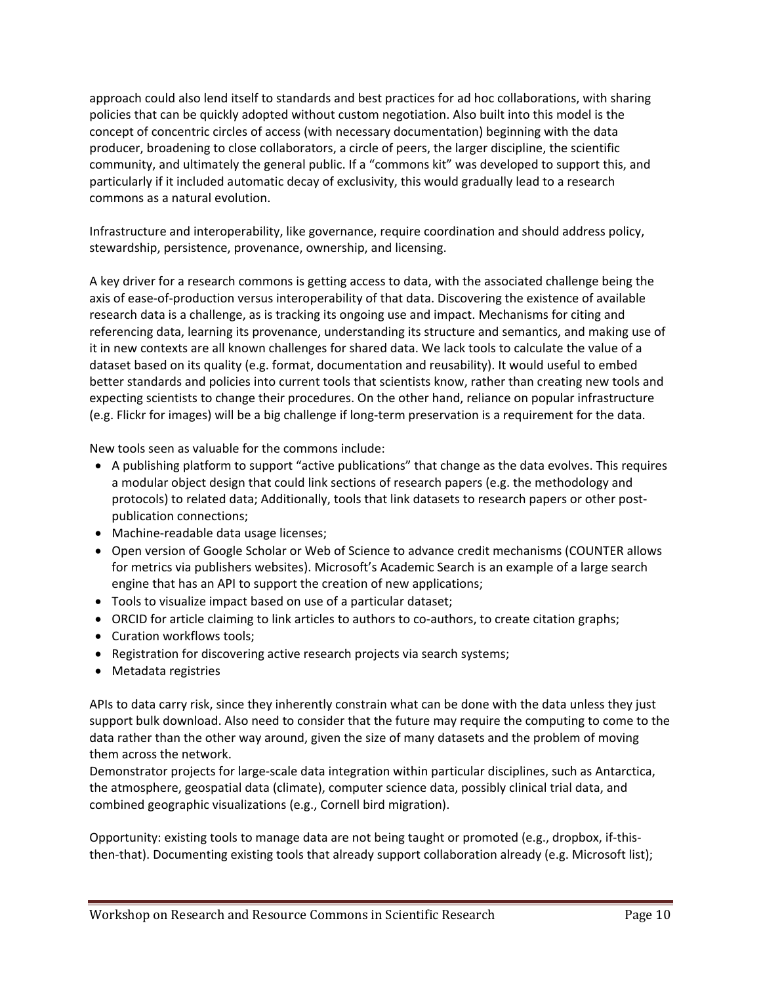approach could also lend itself to standards and best practices for ad hoc collaborations, with sharing policies that can be quickly adopted without custom negotiation. Also built into this model is the concept of concentric circles of access (with necessary documentation) beginning with the data producer, broadening to close collaborators, a circle of peers, the larger discipline, the scientific community, and ultimately the general public. If a "commons kit" was developed to support this, and particularly if it included automatic decay of exclusivity, this would gradually lead to a research commons as a natural evolution.

Infrastructure and interoperability, like governance, require coordination and should address policy, stewardship, persistence, provenance, ownership, and licensing.

A key driver for a research commons is getting access to data, with the associated challenge being the axis of ease‐of‐production versus interoperability of that data. Discovering the existence of available research data is a challenge, as is tracking its ongoing use and impact. Mechanisms for citing and referencing data, learning its provenance, understanding its structure and semantics, and making use of it in new contexts are all known challenges for shared data. We lack tools to calculate the value of a dataset based on its quality (e.g. format, documentation and reusability). It would useful to embed better standards and policies into current tools that scientists know, rather than creating new tools and expecting scientists to change their procedures. On the other hand, reliance on popular infrastructure (e.g. Flickr for images) will be a big challenge if long‐term preservation is a requirement for the data.

New tools seen as valuable for the commons include:

- A publishing platform to support "active publications" that change as the data evolves. This requires a modular object design that could link sections of research papers (e.g. the methodology and protocols) to related data; Additionally, tools that link datasets to research papers or other postpublication connections;
- Machine‐readable data usage licenses;
- Open version of Google Scholar or Web of Science to advance credit mechanisms (COUNTER allows for metrics via publishers websites). Microsoft's Academic Search is an example of a large search engine that has an API to support the creation of new applications;
- Tools to visualize impact based on use of a particular dataset;
- ORCID for article claiming to link articles to authors to co-authors, to create citation graphs;
- Curation workflows tools;
- Registration for discovering active research projects via search systems;
- Metadata registries

APIs to data carry risk, since they inherently constrain what can be done with the data unless they just support bulk download. Also need to consider that the future may require the computing to come to the data rather than the other way around, given the size of many datasets and the problem of moving them across the network.

Demonstrator projects for large‐scale data integration within particular disciplines, such as Antarctica, the atmosphere, geospatial data (climate), computer science data, possibly clinical trial data, and combined geographic visualizations (e.g., Cornell bird migration).

Opportunity: existing tools to manage data are not being taught or promoted (e.g., dropbox, if‐this‐ then-that). Documenting existing tools that already support collaboration already (e.g. Microsoft list);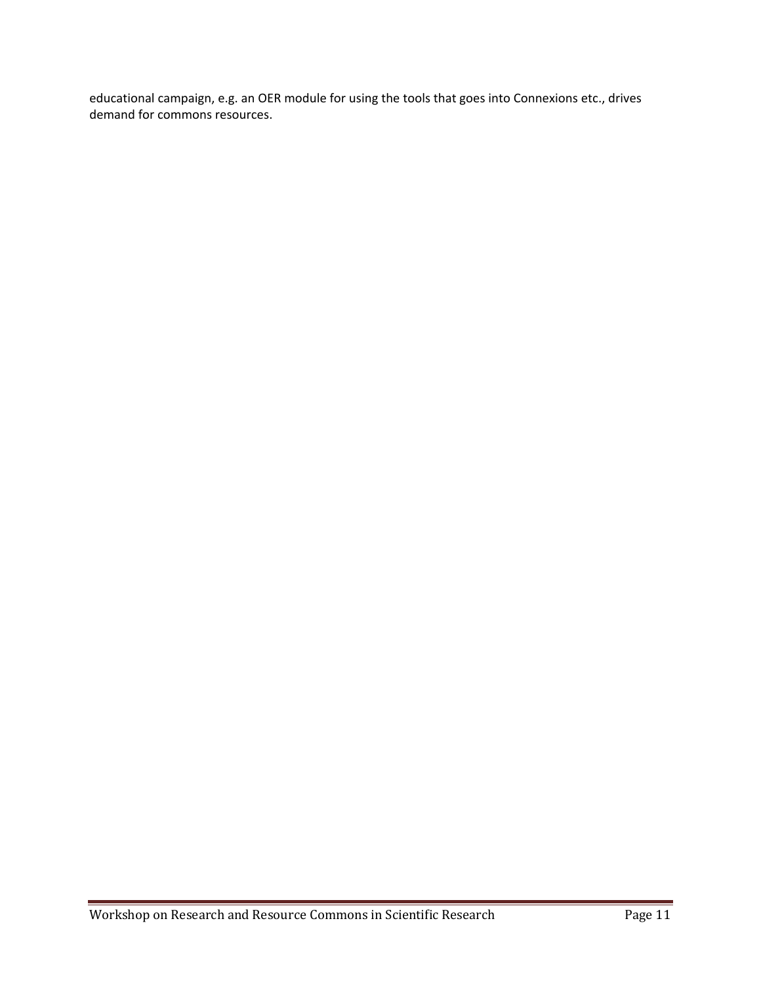educational campaign, e.g. an OER module for using the tools that goes into Connexions etc., drives demand for commons resources.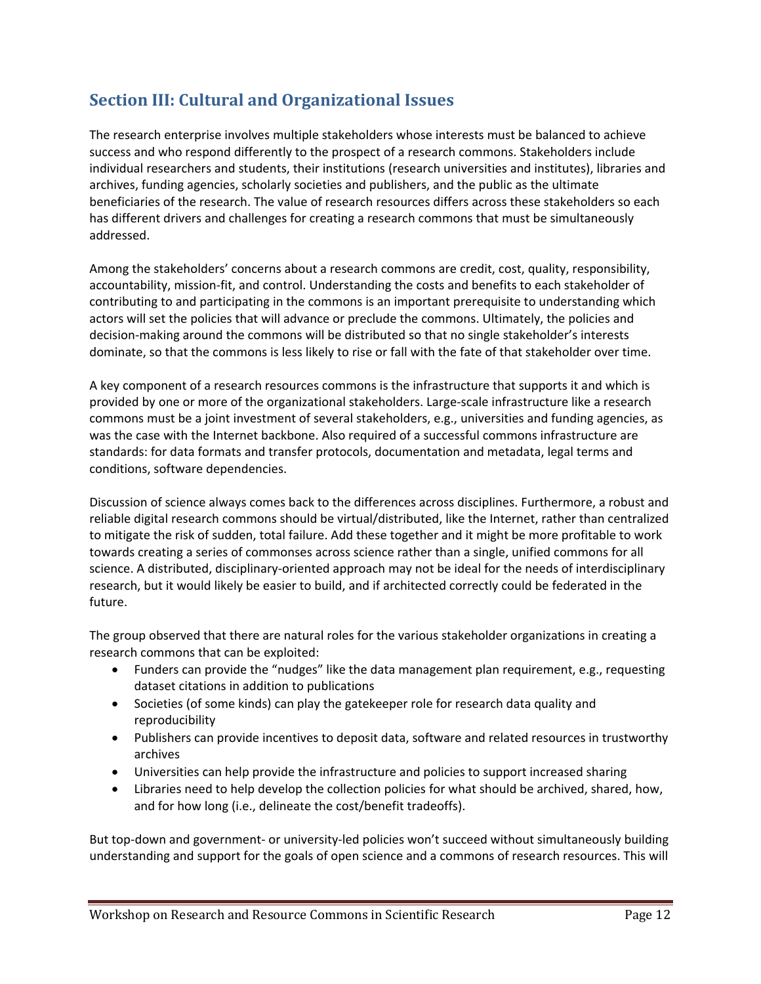### **Section III: Cultural and Organizational Issues**

The research enterprise involves multiple stakeholders whose interests must be balanced to achieve success and who respond differently to the prospect of a research commons. Stakeholders include individual researchers and students, their institutions (research universities and institutes), libraries and archives, funding agencies, scholarly societies and publishers, and the public as the ultimate beneficiaries of the research. The value of research resources differs across these stakeholders so each has different drivers and challenges for creating a research commons that must be simultaneously addressed.

Among the stakeholders' concerns about a research commons are credit, cost, quality, responsibility, accountability, mission‐fit, and control. Understanding the costs and benefits to each stakeholder of contributing to and participating in the commons is an important prerequisite to understanding which actors will set the policies that will advance or preclude the commons. Ultimately, the policies and decision‐making around the commons will be distributed so that no single stakeholder's interests dominate, so that the commons is less likely to rise or fall with the fate of that stakeholder over time.

A key component of a research resources commons is the infrastructure that supports it and which is provided by one or more of the organizational stakeholders. Large‐scale infrastructure like a research commons must be a joint investment of several stakeholders, e.g., universities and funding agencies, as was the case with the Internet backbone. Also required of a successful commons infrastructure are standards: for data formats and transfer protocols, documentation and metadata, legal terms and conditions, software dependencies.

Discussion of science always comes back to the differences across disciplines. Furthermore, a robust and reliable digital research commons should be virtual/distributed, like the Internet, rather than centralized to mitigate the risk of sudden, total failure. Add these together and it might be more profitable to work towards creating a series of commonses across science rather than a single, unified commons for all science. A distributed, disciplinary‐oriented approach may not be ideal for the needs of interdisciplinary research, but it would likely be easier to build, and if architected correctly could be federated in the future.

The group observed that there are natural roles for the various stakeholder organizations in creating a research commons that can be exploited:

- Funders can provide the "nudges" like the data management plan requirement, e.g., requesting dataset citations in addition to publications
- Societies (of some kinds) can play the gatekeeper role for research data quality and reproducibility
- Publishers can provide incentives to deposit data, software and related resources in trustworthy archives
- Universities can help provide the infrastructure and policies to support increased sharing
- Libraries need to help develop the collection policies for what should be archived, shared, how, and for how long (i.e., delineate the cost/benefit tradeoffs).

But top-down and government- or university-led policies won't succeed without simultaneously building understanding and support for the goals of open science and a commons of research resources. This will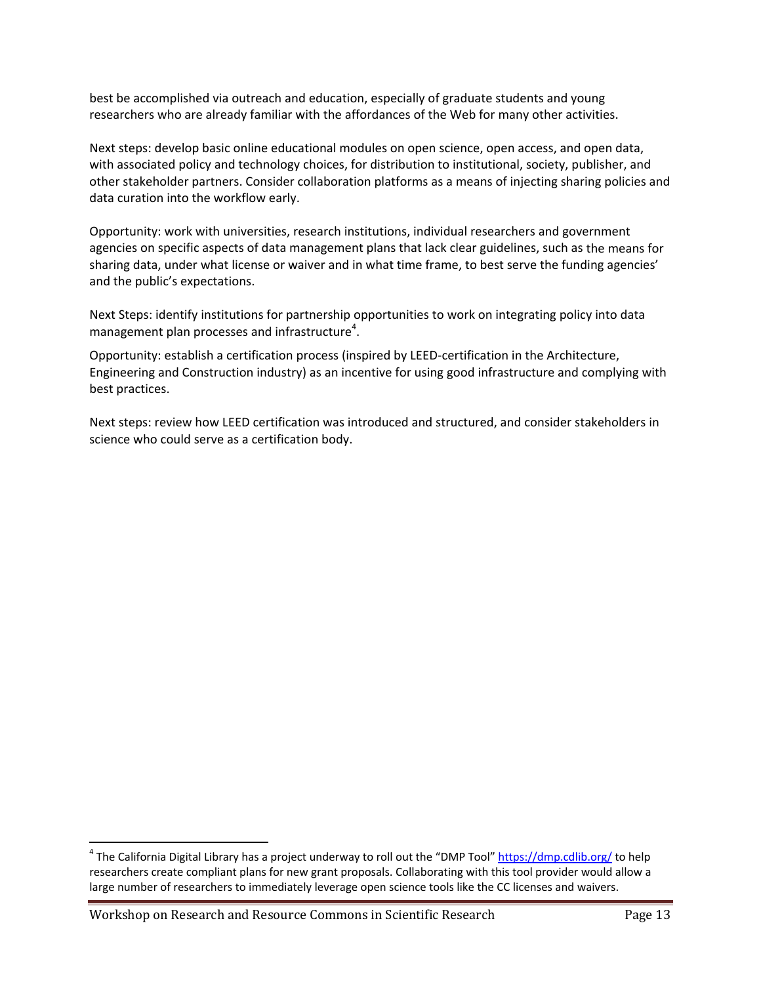best be accomplished via outreach and education, especially of graduate students and young researchers who are already familiar with the affordances of the Web for many other activities.

Next steps: develop basic online educational modules on open science, open access, and open data, with associated policy and technology choices, for distribution to institutional, society, publisher, and other stakeholder partners. Consider collaboration platforms as a means of injecting sharing policies and data curation into the workflow early.

Opportunity: work with universities, research institutions, individual researchers and government agencies on specific aspects of data management plans that lack clear guidelines, such as the means for sharing data, under what license or waiver and in what time frame, to best serve the funding agencies' and the public's expectations.

Next Steps: identify institutions for partnership opportunities to work on integrating policy into data management plan processes and infrastructure<sup>4</sup>.

Opportunity: establish a certification process (inspired by LEED‐certification in the Architecture, Engineering and Construction industry) as an incentive for using good infrastructure and complying with best practices.

Next steps: review how LEED certification was introduced and structured, and consider stakeholders in science who could serve as a certification body.

Workshop on Research and Resource Commons in Scientific Research **Page 13** 

<sup>&</sup>lt;sup>4</sup> The California Digital Library has a project underway to roll out the "DMP Tool" https://dmp.cdlib.org/ to help researchers create compliant plans for new grant proposals. Collaborating with this tool provider would allow a large number of researchers to immediately leverage open science tools like the CC licenses and waivers.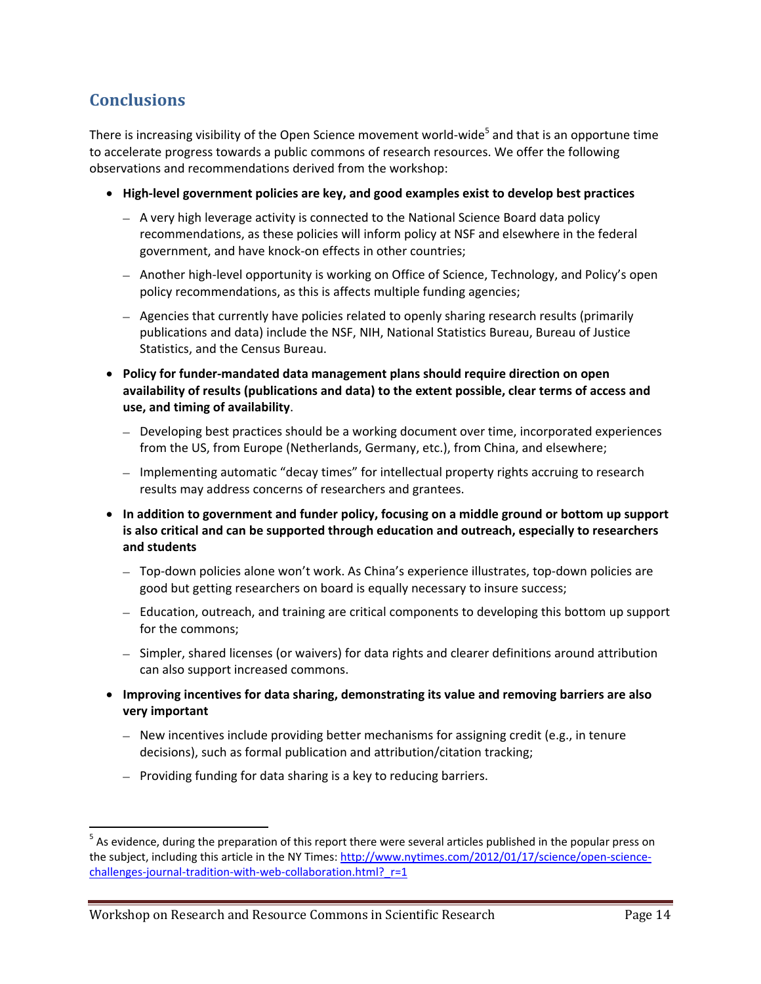### **Conclusions**

There is increasing visibility of the Open Science movement world-wide<sup>5</sup> and that is an opportune time to accelerate progress towards a public commons of research resources. We offer the following observations and recommendations derived from the workshop:

- **High‐level government policies are key, and good examples exist to develop best practices**
	- A very high leverage activity is connected to the National Science Board data policy recommendations, as these policies will inform policy at NSF and elsewhere in the federal government, and have knock‐on effects in other countries;
	- Another high‐level opportunity is working on Office of Science, Technology, and Policy's open policy recommendations, as this is affects multiple funding agencies;
	- Agencies that currently have policies related to openly sharing research results (primarily publications and data) include the NSF, NIH, National Statistics Bureau, Bureau of Justice Statistics, and the Census Bureau.
- **Policy for funder‐mandated data management plans should require direction on open availability of results (publications and data) to the extent possible, clear terms of access and use, and timing of availability**.
	- Developing best practices should be a working document over time, incorporated experiences from the US, from Europe (Netherlands, Germany, etc.), from China, and elsewhere;
	- Implementing automatic "decay times" for intellectual property rights accruing to research results may address concerns of researchers and grantees.
- **In addition to government and funder policy, focusing on a middle ground or bottom up support is also critical and can be supported through education and outreach, especially to researchers and students**
	- Top‐down policies alone won't work. As China's experience illustrates, top‐down policies are good but getting researchers on board is equally necessary to insure success;
	- Education, outreach, and training are critical components to developing this bottom up support for the commons;
	- Simpler, shared licenses (or waivers) for data rights and clearer definitions around attribution can also support increased commons.
- **Improving incentives for data sharing, demonstrating its value and removing barriers are also very important**
	- New incentives include providing better mechanisms for assigning credit (e.g., in tenure decisions), such as formal publication and attribution/citation tracking;
	- Providing funding for data sharing is a key to reducing barriers.

 $<sup>5</sup>$  As evidence, during the preparation of this report there were several articles published in the popular press on</sup> the subject, including this article in the NY Times: http://www.nytimes.com/2012/01/17/science/open-sciencechallenges-journal-tradition-with-web-collaboration.html? r=1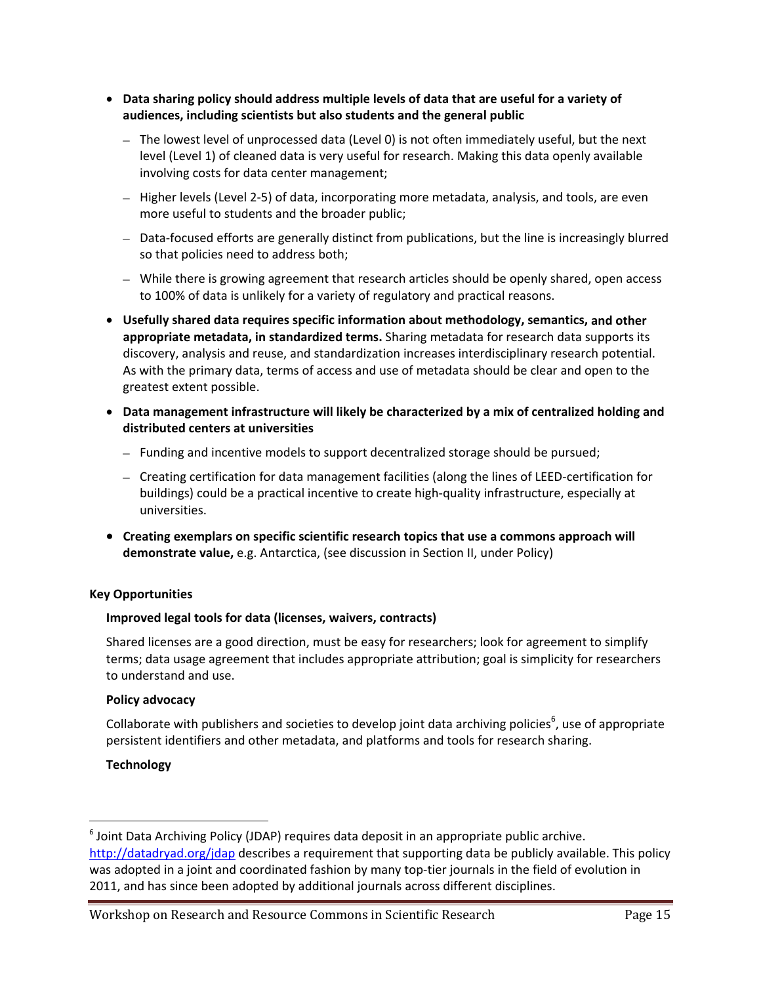- **Data sharing policy should address multiple levels of data that are useful for a variety of audiences, including scientists but also students and the general public**
	- The lowest level of unprocessed data (Level 0) is not often immediately useful, but the next level (Level 1) of cleaned data is very useful for research. Making this data openly available involving costs for data center management;
	- Higher levels (Level 2‐5) of data, incorporating more metadata, analysis, and tools, are even more useful to students and the broader public;
	- Data‐focused efforts are generally distinct from publications, but the line is increasingly blurred so that policies need to address both;
	- While there is growing agreement that research articles should be openly shared, open access to 100% of data is unlikely for a variety of regulatory and practical reasons.
- **Usefully shared data requires specific information about methodology, semantics, and other appropriate metadata, in standardized terms.** Sharing metadata for research data supports its discovery, analysis and reuse, and standardization increases interdisciplinary research potential. As with the primary data, terms of access and use of metadata should be clear and open to the greatest extent possible.
- **Data management infrastructure will likely be characterized by a mix of centralized holding and distributed centers at universities**
	- Funding and incentive models to support decentralized storage should be pursued;
	- Creating certification for data management facilities (along the lines of LEED‐certification for buildings) could be a practical incentive to create high‐quality infrastructure, especially at universities.
- **Creating exemplars on specific scientific research topics that use a commons approach will demonstrate value,** e.g. Antarctica, (see discussion in Section II, under Policy)

#### **Key Opportunities**

#### **Improved legal tools for data (licenses, waivers, contracts)**

Shared licenses are a good direction, must be easy for researchers; look for agreement to simplify terms; data usage agreement that includes appropriate attribution; goal is simplicity for researchers to understand and use.

#### **Policy advocacy**

Collaborate with publishers and societies to develop joint data archiving policies<sup>6</sup>, use of appropriate persistent identifiers and other metadata, and platforms and tools for research sharing.

#### **Technology**

 $6$  Joint Data Archiving Policy (JDAP) requires data deposit in an appropriate public archive. http://datadryad.org/jdap describes a requirement that supporting data be publicly available. This policy was adopted in a joint and coordinated fashion by many top-tier journals in the field of evolution in 2011, and has since been adopted by additional journals across different disciplines.

Workshop on Research and Resource Commons in Scientific Research **Page 15**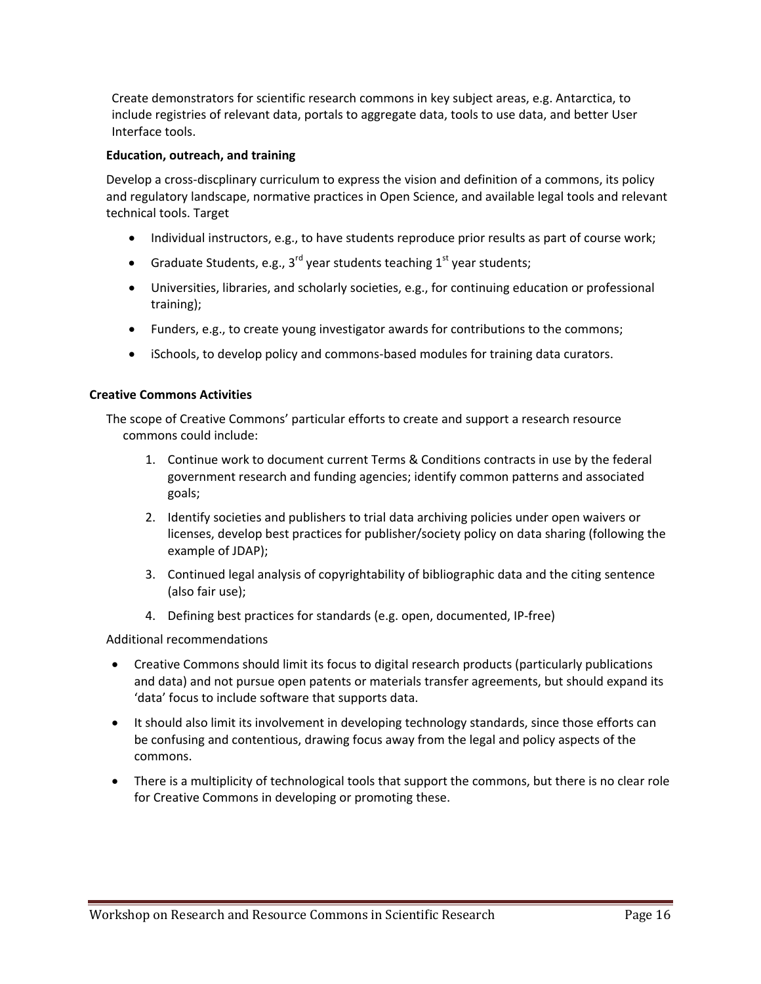Create demonstrators for scientific research commons in key subject areas, e.g. Antarctica, to include registries of relevant data, portals to aggregate data, tools to use data, and better User Interface tools.

#### **Education, outreach, and training**

Develop a cross‐discplinary curriculum to express the vision and definition of a commons, its policy and regulatory landscape, normative practices in Open Science, and available legal tools and relevant technical tools. Target

- Individual instructors, e.g., to have students reproduce prior results as part of course work;
- Graduate Students, e.g.,  $3^{rd}$  year students teaching  $1^{st}$  year students;
- Universities, libraries, and scholarly societies, e.g., for continuing education or professional training);
- Funders, e.g., to create young investigator awards for contributions to the commons;
- iSchools, to develop policy and commons‐based modules for training data curators.

#### **Creative Commons Activities**

The scope of Creative Commons' particular efforts to create and support a research resource commons could include:

- 1. Continue work to document current Terms & Conditions contracts in use by the federal government research and funding agencies; identify common patterns and associated goals;
- 2. Identify societies and publishers to trial data archiving policies under open waivers or licenses, develop best practices for publisher/society policy on data sharing (following the example of JDAP);
- 3. Continued legal analysis of copyrightability of bibliographic data and the citing sentence (also fair use);
- 4. Defining best practices for standards (e.g. open, documented, IP‐free)

Additional recommendations

- Creative Commons should limit its focus to digital research products (particularly publications and data) and not pursue open patents or materials transfer agreements, but should expand its 'data' focus to include software that supports data.
- It should also limit its involvement in developing technology standards, since those efforts can be confusing and contentious, drawing focus away from the legal and policy aspects of the commons.
- There is a multiplicity of technological tools that support the commons, but there is no clear role for Creative Commons in developing or promoting these.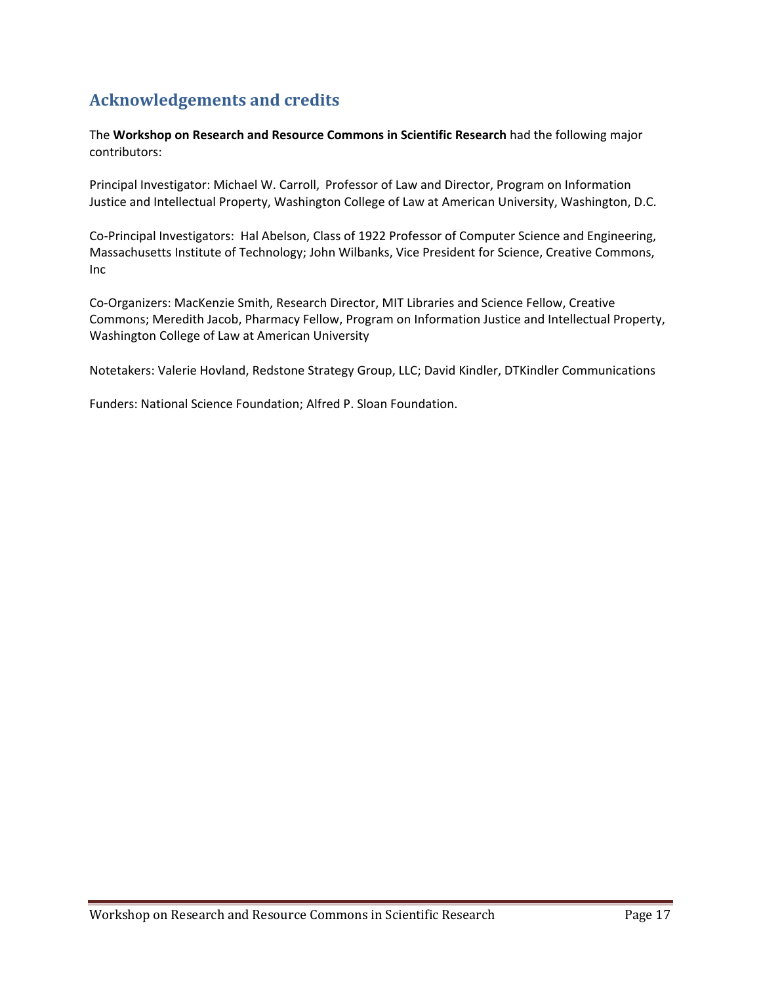### **Acknowledgements and credits**

The **Workshop on Research and Resource Commons in Scientific Research** had the following major contributors:

Principal Investigator: Michael W. Carroll, Professor of Law and Director, Program on Information Justice and Intellectual Property, Washington College of Law at American University, Washington, D.C.

Co‐Principal Investigators:Hal Abelson, Class of 1922 Professor of Computer Science and Engineering, Massachusetts Institute of Technology; John Wilbanks, Vice President for Science, Creative Commons, Inc

Co‐Organizers: MacKenzie Smith, Research Director, MIT Libraries and Science Fellow, Creative Commons; Meredith Jacob, Pharmacy Fellow, Program on Information Justice and Intellectual Property, Washington College of Law at American University

Notetakers: Valerie Hovland, Redstone Strategy Group, LLC; David Kindler, DTKindler Communications

Funders: National Science Foundation; Alfred P. Sloan Foundation.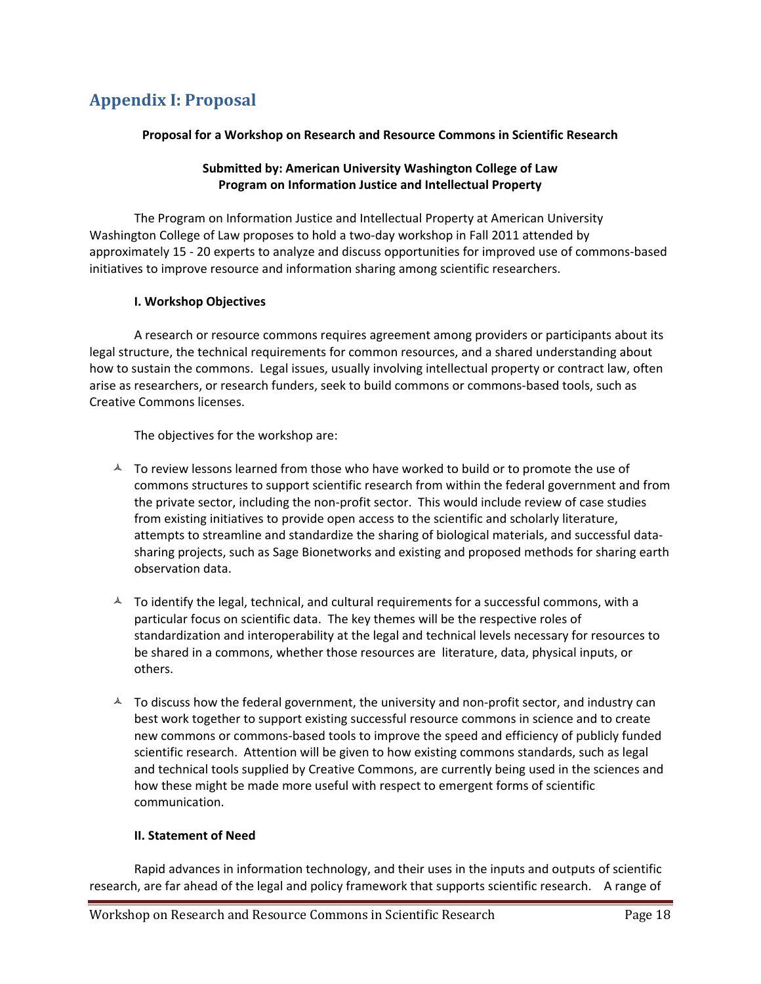### **Appendix I: Proposal**

#### **Proposal for a Workshop on Research and Resource Commons in Scientific Research**

### **Submitted by: American University Washington College of Law Program on Information Justice and Intellectual Property**

The Program on Information Justice and Intellectual Property at American University Washington College of Law proposes to hold a two-day workshop in Fall 2011 attended by approximately 15 ‐ 20 experts to analyze and discuss opportunities for improved use of commons‐based initiatives to improve resource and information sharing among scientific researchers.

### **I. Workshop Objectives**

A research or resource commons requires agreement among providers or participants about its legal structure, the technical requirements for common resources, and a shared understanding about how to sustain the commons. Legal issues, usually involving intellectual property or contract law, often arise as researchers, or research funders, seek to build commons or commons‐based tools, such as Creative Commons licenses.

The objectives for the workshop are:

- $\triangle$  To review lessons learned from those who have worked to build or to promote the use of commons structures to support scientific research from within the federal government and from the private sector, including the non‐profit sector. This would include review of case studies from existing initiatives to provide open access to the scientific and scholarly literature, attempts to streamline and standardize the sharing of biological materials, and successful data‐ sharing projects, such as Sage Bionetworks and existing and proposed methods for sharing earth observation data.
- $\triangle$  To identify the legal, technical, and cultural requirements for a successful commons, with a particular focus on scientific data. The key themes will be the respective roles of standardization and interoperability at the legal and technical levels necessary for resources to be shared in a commons, whether those resources are literature, data, physical inputs, or others.
- $\triangle$  To discuss how the federal government, the university and non-profit sector, and industry can best work together to support existing successful resource commons in science and to create new commons or commons‐based tools to improve the speed and efficiency of publicly funded scientific research. Attention will be given to how existing commons standards, such as legal and technical tools supplied by Creative Commons, are currently being used in the sciences and how these might be made more useful with respect to emergent forms of scientific communication.

### **II. Statement of Need**

Rapid advances in information technology, and their uses in the inputs and outputs of scientific research, are far ahead of the legal and policy framework that supports scientific research. A range of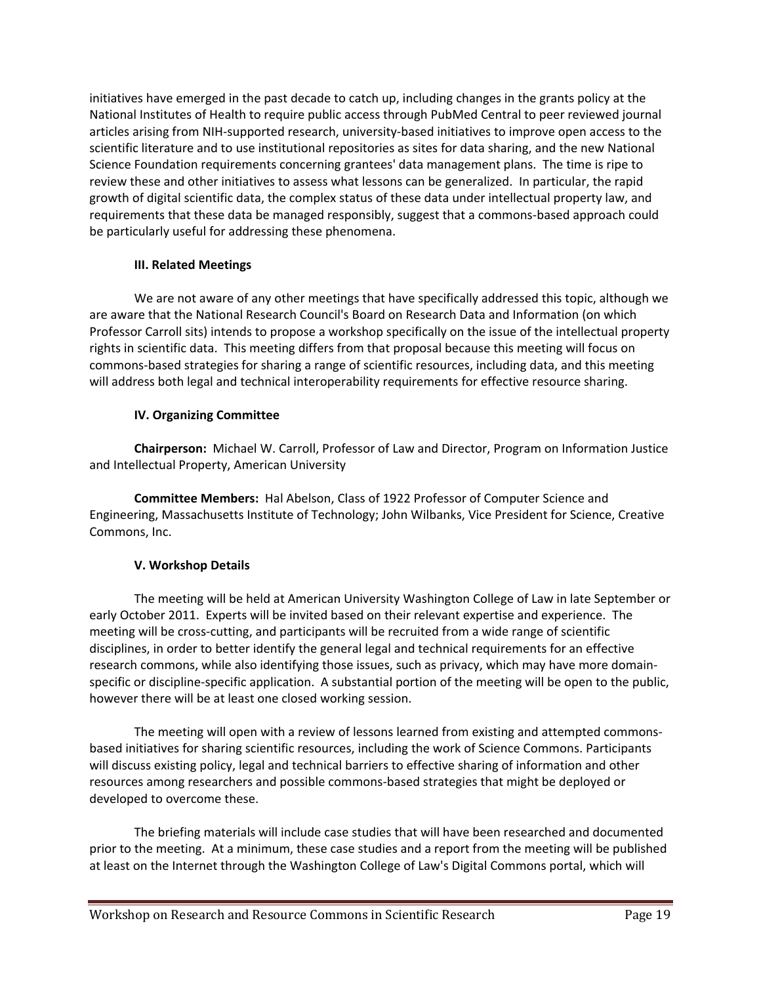initiatives have emerged in the past decade to catch up, including changes in the grants policy at the National Institutes of Health to require public access through PubMed Central to peer reviewed journal articles arising from NIH‐supported research, university‐based initiatives to improve open access to the scientific literature and to use institutional repositories as sites for data sharing, and the new National Science Foundation requirements concerning grantees' data management plans. The time is ripe to review these and other initiatives to assess what lessons can be generalized. In particular, the rapid growth of digital scientific data, the complex status of these data under intellectual property law, and requirements that these data be managed responsibly, suggest that a commons‐based approach could be particularly useful for addressing these phenomena.

### **III. Related Meetings**

We are not aware of any other meetings that have specifically addressed this topic, although we are aware that the National Research Council's Board on Research Data and Information (on which Professor Carroll sits) intends to propose a workshop specifically on the issue of the intellectual property rights in scientific data. This meeting differs from that proposal because this meeting will focus on commons‐based strategies for sharing a range of scientific resources, including data, and this meeting will address both legal and technical interoperability requirements for effective resource sharing.

### **IV. Organizing Committee**

**Chairperson:** Michael W. Carroll, Professor of Law and Director, Program on Information Justice and Intellectual Property, American University

**Committee Members:** Hal Abelson, Class of 1922 Professor of Computer Science and Engineering, Massachusetts Institute of Technology; John Wilbanks, Vice President for Science, Creative Commons, Inc.

### **V. Workshop Details**

The meeting will be held at American University Washington College of Law in late September or early October 2011. Experts will be invited based on their relevant expertise and experience. The meeting will be cross‐cutting, and participants will be recruited from a wide range of scientific disciplines, in order to better identify the general legal and technical requirements for an effective research commons, while also identifying those issues, such as privacy, which may have more domain‐ specific or discipline‐specific application. A substantial portion of the meeting will be open to the public, however there will be at least one closed working session.

The meeting will open with a review of lessons learned from existing and attempted commons‐ based initiatives for sharing scientific resources, including the work of Science Commons. Participants will discuss existing policy, legal and technical barriers to effective sharing of information and other resources among researchers and possible commons‐based strategies that might be deployed or developed to overcome these.

The briefing materials will include case studies that will have been researched and documented prior to the meeting. At a minimum, these case studies and a report from the meeting will be published at least on the Internet through the Washington College of Law's Digital Commons portal, which will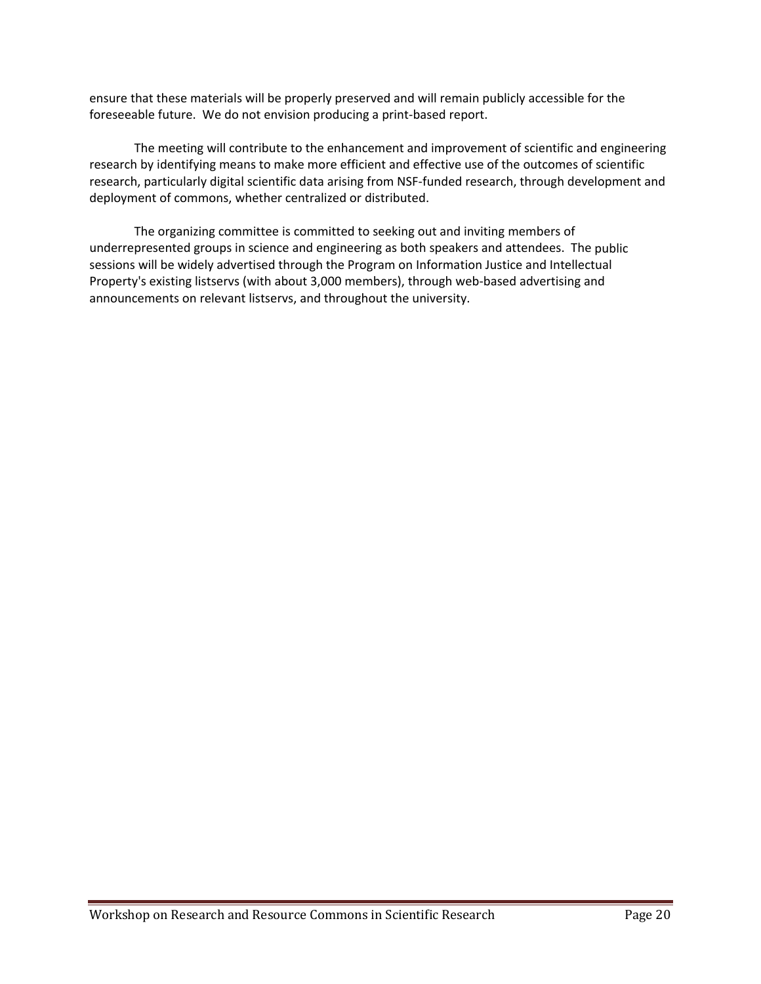ensure that these materials will be properly preserved and will remain publicly accessible for the foreseeable future. We do not envision producing a print‐based report.

The meeting will contribute to the enhancement and improvement of scientific and engineering research by identifying means to make more efficient and effective use of the outcomes of scientific research, particularly digital scientific data arising from NSF‐funded research, through development and deployment of commons, whether centralized or distributed.

The organizing committee is committed to seeking out and inviting members of underrepresented groups in science and engineering as both speakers and attendees. The public sessions will be widely advertised through the Program on Information Justice and Intellectual Property's existing listservs (with about 3,000 members), through web-based advertising and announcements on relevant listservs, and throughout the university.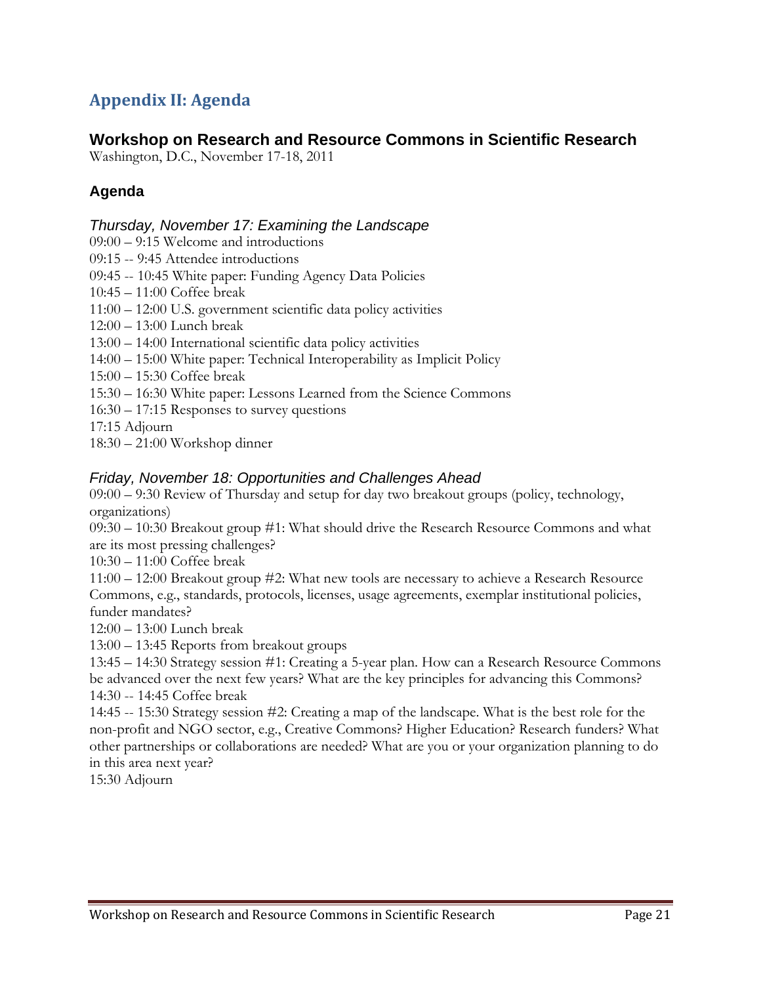## **Appendix II: Agenda**

### **Workshop on Research and Resource Commons in Scientific Research**

Washington, D.C., November 17-18, 2011

### **Agenda**

### *Thursday, November 17: Examining the Landscape*

- 09:00 9:15 Welcome and introductions
- 09:15 -- 9:45 Attendee introductions
- 09:45 -- 10:45 White paper: Funding Agency Data Policies
- 10:45 11:00 Coffee break
- 11:00 12:00 U.S. government scientific data policy activities
- 12:00 13:00 Lunch break
- 13:00 14:00 International scientific data policy activities
- 14:00 15:00 White paper: Technical Interoperability as Implicit Policy
- 15:00 15:30 Coffee break
- 15:30 16:30 White paper: Lessons Learned from the Science Commons
- 16:30 17:15 Responses to survey questions
- 17:15 Adjourn
- 18:30 21:00 Workshop dinner

### *Friday, November 18: Opportunities and Challenges Ahead*

09:00 – 9:30 Review of Thursday and setup for day two breakout groups (policy, technology, organizations)

 $09:30 - 10:30$  Breakout group #1: What should drive the Research Resource Commons and what are its most pressing challenges?

10:30 – 11:00 Coffee break

11:00 – 12:00 Breakout group #2: What new tools are necessary to achieve a Research Resource Commons, e.g., standards, protocols, licenses, usage agreements, exemplar institutional policies, funder mandates?

12:00 – 13:00 Lunch break

13:00 – 13:45 Reports from breakout groups

13:45 – 14:30 Strategy session #1: Creating a 5-year plan. How can a Research Resource Commons be advanced over the next few years? What are the key principles for advancing this Commons? 14:30 -- 14:45 Coffee break

14:45 -- 15:30 Strategy session #2: Creating a map of the landscape. What is the best role for the non-profit and NGO sector, e.g., Creative Commons? Higher Education? Research funders? What other partnerships or collaborations are needed? What are you or your organization planning to do in this area next year?

15:30 Adjourn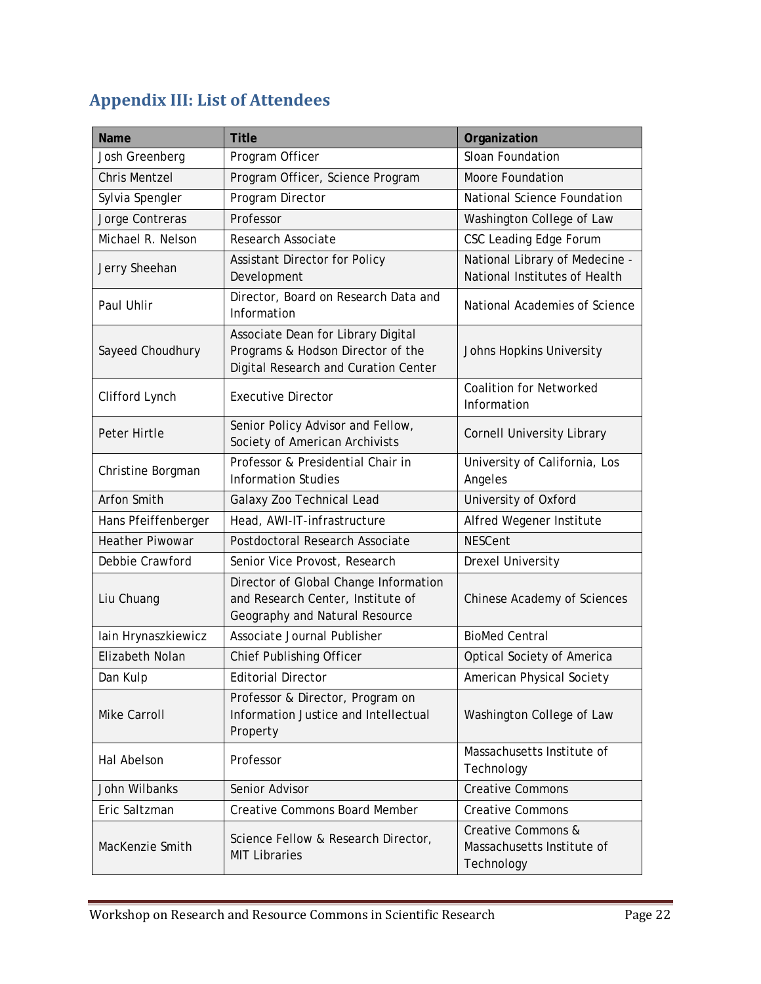## **Appendix III: List of Attendees**

| <b>Name</b>            | <b>Title</b>                                                                                                    | Organization                                                    |
|------------------------|-----------------------------------------------------------------------------------------------------------------|-----------------------------------------------------------------|
| Josh Greenberg         | Program Officer                                                                                                 | Sloan Foundation                                                |
| <b>Chris Mentzel</b>   | Program Officer, Science Program                                                                                | <b>Moore Foundation</b>                                         |
| Sylvia Spengler        | Program Director                                                                                                | National Science Foundation                                     |
| Jorge Contreras        | Professor                                                                                                       | Washington College of Law                                       |
| Michael R. Nelson      | Research Associate                                                                                              | CSC Leading Edge Forum                                          |
| Jerry Sheehan          | Assistant Director for Policy<br>Development                                                                    | National Library of Medecine -<br>National Institutes of Health |
| Paul Uhlir             | Director, Board on Research Data and<br>Information                                                             | National Academies of Science                                   |
| Sayeed Choudhury       | Associate Dean for Library Digital<br>Programs & Hodson Director of the<br>Digital Research and Curation Center | Johns Hopkins University                                        |
| Clifford Lynch         | <b>Executive Director</b>                                                                                       | <b>Coalition for Networked</b><br>Information                   |
| Peter Hirtle           | Senior Policy Advisor and Fellow,<br>Society of American Archivists                                             | <b>Cornell University Library</b>                               |
| Christine Borgman      | Professor & Presidential Chair in<br><b>Information Studies</b>                                                 | University of California, Los<br>Angeles                        |
| Arfon Smith            | Galaxy Zoo Technical Lead                                                                                       | University of Oxford                                            |
| Hans Pfeiffenberger    | Head, AWI-IT-infrastructure                                                                                     | Alfred Wegener Institute                                        |
| <b>Heather Piwowar</b> | Postdoctoral Research Associate                                                                                 | <b>NESCent</b>                                                  |
| Debbie Crawford        | Senior Vice Provost, Research                                                                                   | <b>Drexel University</b>                                        |
| Liu Chuang             | Director of Global Change Information<br>and Research Center, Institute of<br>Geography and Natural Resource    | <b>Chinese Academy of Sciences</b>                              |
| lain Hrynaszkiewicz    | Associate Journal Publisher                                                                                     | <b>BioMed Central</b>                                           |
| Elizabeth Nolan        | Chief Publishing Officer                                                                                        | <b>Optical Society of America</b>                               |
| Dan Kulp               | <b>Editorial Director</b>                                                                                       | American Physical Society                                       |
| <b>Mike Carroll</b>    | Professor & Director, Program on<br>Information Justice and Intellectual<br>Property                            | Washington College of Law                                       |
| Hal Abelson            | Professor                                                                                                       | Massachusetts Institute of<br>Technology                        |
| John Wilbanks          | Senior Advisor                                                                                                  | <b>Creative Commons</b>                                         |
| Eric Saltzman          | Creative Commons Board Member                                                                                   | <b>Creative Commons</b>                                         |
| MacKenzie Smith        | Science Fellow & Research Director,<br><b>MIT Libraries</b>                                                     | Creative Commons &<br>Massachusetts Institute of<br>Technology  |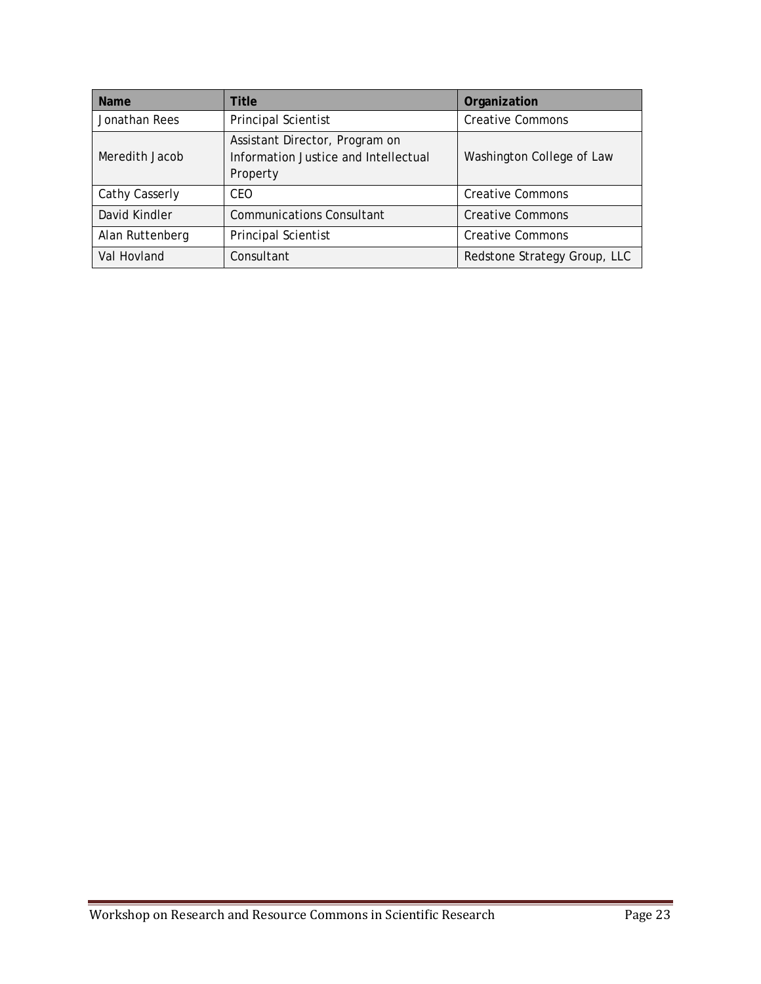| <b>Name</b>     | <b>Title</b>                                                                       | Organization                 |
|-----------------|------------------------------------------------------------------------------------|------------------------------|
| Jonathan Rees   | <b>Principal Scientist</b>                                                         | <b>Creative Commons</b>      |
| Meredith Jacob  | Assistant Director, Program on<br>Information Justice and Intellectual<br>Property | Washington College of Law    |
| Cathy Casserly  | CEO.                                                                               | Creative Commons             |
| David Kindler   | <b>Communications Consultant</b>                                                   | <b>Creative Commons</b>      |
| Alan Ruttenberg | <b>Principal Scientist</b>                                                         | <b>Creative Commons</b>      |
| Val Hovland     | Consultant                                                                         | Redstone Strategy Group, LLC |